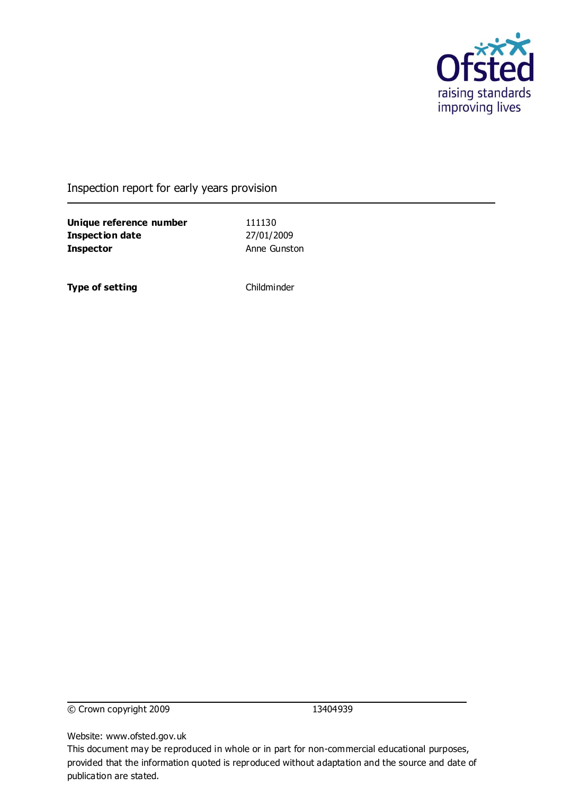

### Inspection report for early years provision

**Unique reference number** 111130 **Inspection date** 27/01/2009 **Inspector** Anne Gunston

**Type of setting** Childminder

© Crown copyright 2009 13404939

Website: www.ofsted.gov.uk

This document may be reproduced in whole or in part for non-commercial educational purposes, provided that the information quoted is reproduced without adaptation and the source and date of publication are stated.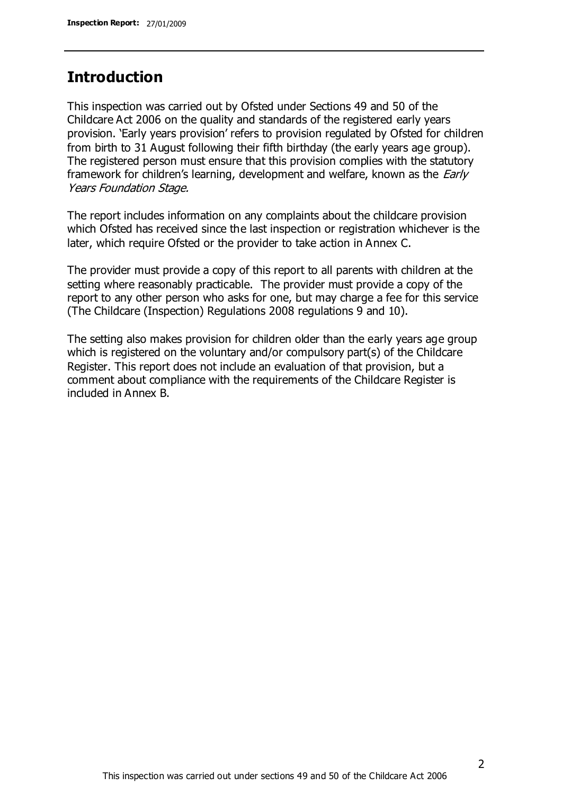# **Introduction**

This inspection was carried out by Ofsted under Sections 49 and 50 of the Childcare Act 2006 on the quality and standards of the registered early years provision. 'Early years provision' refers to provision regulated by Ofsted for children from birth to 31 August following their fifth birthday (the early years age group). The registered person must ensure that this provision complies with the statutory framework for children's learning, development and welfare, known as the *Early* Years Foundation Stage.

The report includes information on any complaints about the childcare provision which Ofsted has received since the last inspection or registration whichever is the later, which require Ofsted or the provider to take action in Annex C.

The provider must provide a copy of this report to all parents with children at the setting where reasonably practicable. The provider must provide a copy of the report to any other person who asks for one, but may charge a fee for this service (The Childcare (Inspection) Regulations 2008 regulations 9 and 10).

The setting also makes provision for children older than the early years age group which is registered on the voluntary and/or compulsory part(s) of the Childcare Register. This report does not include an evaluation of that provision, but a comment about compliance with the requirements of the Childcare Register is included in Annex B.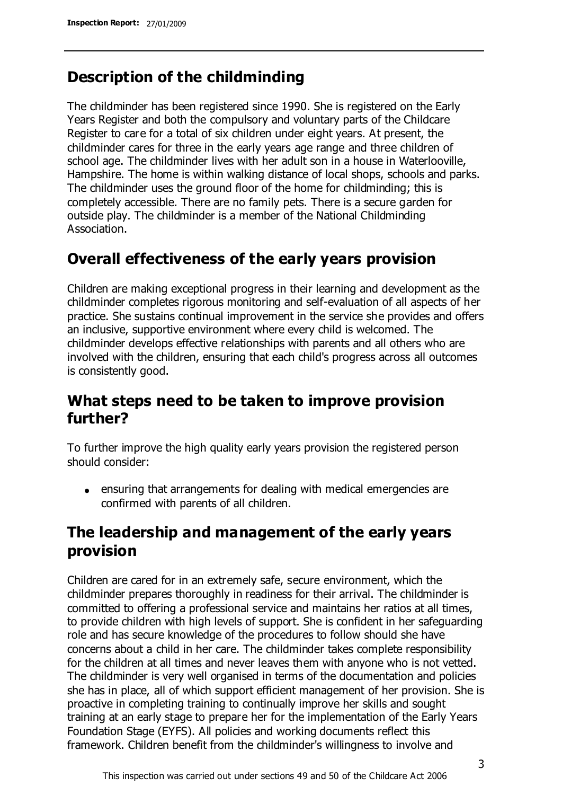# **Description of the childminding**

The childminder has been registered since 1990. She is registered on the Early Years Register and both the compulsory and voluntary parts of the Childcare Register to care for a total of six children under eight years. At present, the childminder cares for three in the early years age range and three children of school age. The childminder lives with her adult son in a house in Waterlooville, Hampshire. The home is within walking distance of local shops, schools and parks. The childminder uses the ground floor of the home for childminding; this is completely accessible. There are no family pets. There is a secure garden for outside play. The childminder is a member of the National Childminding Association.

# **Overall effectiveness of the early years provision**

Children are making exceptional progress in their learning and development as the childminder completes rigorous monitoring and self-evaluation of all aspects of her practice. She sustains continual improvement in the service she provides and offers an inclusive, supportive environment where every child is welcomed. The childminder develops effective relationships with parents and all others who are involved with the children, ensuring that each child's progress across all outcomes is consistently good.

# **What steps need to be taken to improve provision further?**

To further improve the high quality early years provision the registered person should consider:

ensuring that arrangements for dealing with medical emergencies are confirmed with parents of all children.

# **The leadership and management of the early years provision**

Children are cared for in an extremely safe, secure environment, which the childminder prepares thoroughly in readiness for their arrival. The childminder is committed to offering a professional service and maintains her ratios at all times, to provide children with high levels of support. She is confident in her safeguarding role and has secure knowledge of the procedures to follow should she have concerns about a child in her care. The childminder takes complete responsibility for the children at all times and never leaves them with anyone who is not vetted. The childminder is very well organised in terms of the documentation and policies she has in place, all of which support efficient management of her provision. She is proactive in completing training to continually improve her skills and sought training at an early stage to prepare her for the implementation of the Early Years Foundation Stage (EYFS). All policies and working documents reflect this framework. Children benefit from the childminder's willingness to involve and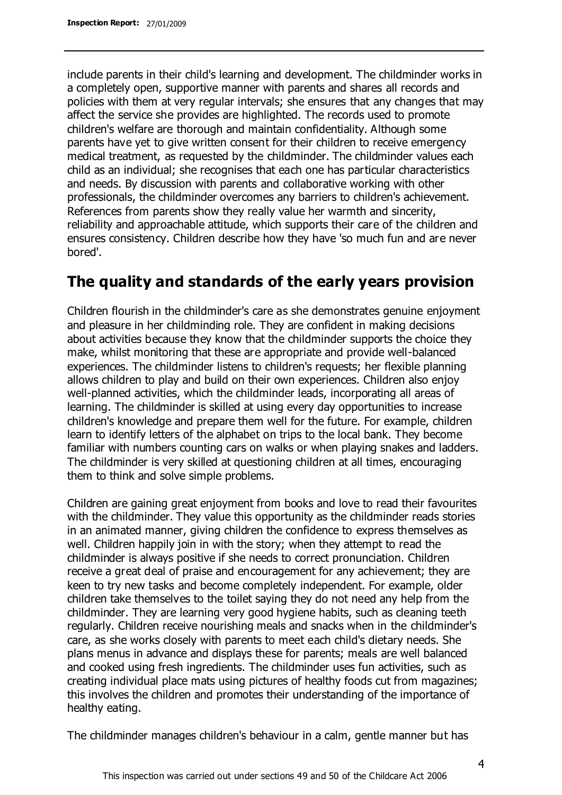include parents in their child's learning and development. The childminder works in a completely open, supportive manner with parents and shares all records and policies with them at very regular intervals; she ensures that any changes that may affect the service she provides are highlighted. The records used to promote children's welfare are thorough and maintain confidentiality. Although some parents have yet to give written consent for their children to receive emergency medical treatment, as requested by the childminder. The childminder values each child as an individual; she recognises that each one has particular characteristics and needs. By discussion with parents and collaborative working with other professionals, the childminder overcomes any barriers to children's achievement. References from parents show they really value her warmth and sincerity, reliability and approachable attitude, which supports their care of the children and ensures consistency. Children describe how they have 'so much fun and are never bored'.

# **The quality and standards of the early years provision**

Children flourish in the childminder's care as she demonstrates genuine enjoyment and pleasure in her childminding role. They are confident in making decisions about activities because they know that the childminder supports the choice they make, whilst monitoring that these are appropriate and provide well-balanced experiences. The childminder listens to children's requests; her flexible planning allows children to play and build on their own experiences. Children also enjoy well-planned activities, which the childminder leads, incorporating all areas of learning. The childminder is skilled at using every day opportunities to increase children's knowledge and prepare them well for the future. For example, children learn to identify letters of the alphabet on trips to the local bank. They become familiar with numbers counting cars on walks or when playing snakes and ladders. The childminder is very skilled at questioning children at all times, encouraging them to think and solve simple problems.

Children are gaining great enjoyment from books and love to read their favourites with the childminder. They value this opportunity as the childminder reads stories in an animated manner, giving children the confidence to express themselves as well. Children happily join in with the story; when they attempt to read the childminder is always positive if she needs to correct pronunciation. Children receive a great deal of praise and encouragement for any achievement; they are keen to try new tasks and become completely independent. For example, older children take themselves to the toilet saying they do not need any help from the childminder. They are learning very good hygiene habits, such as cleaning teeth regularly. Children receive nourishing meals and snacks when in the childminder's care, as she works closely with parents to meet each child's dietary needs. She plans menus in advance and displays these for parents; meals are well balanced and cooked using fresh ingredients. The childminder uses fun activities, such as creating individual place mats using pictures of healthy foods cut from magazines; this involves the children and promotes their understanding of the importance of healthy eating.

The childminder manages children's behaviour in a calm, gentle manner but has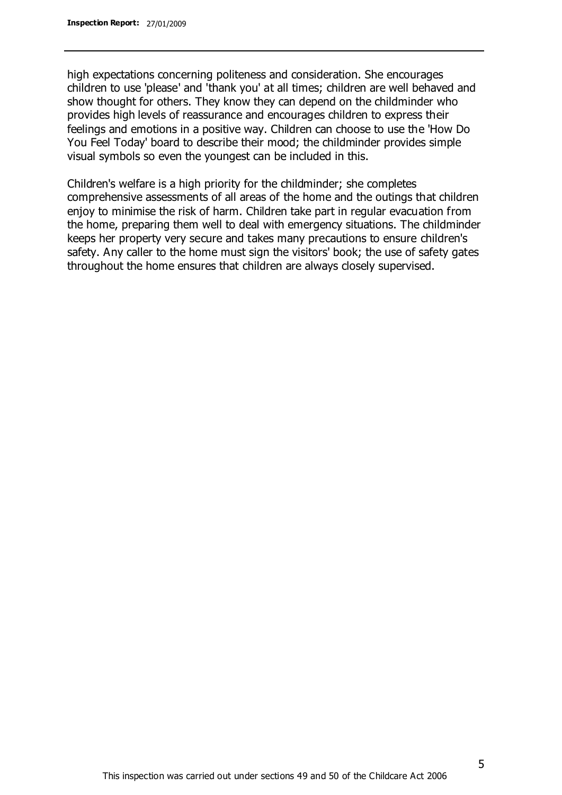high expectations concerning politeness and consideration. She encourages children to use 'please' and 'thank you' at all times; children are well behaved and show thought for others. They know they can depend on the childminder who provides high levels of reassurance and encourages children to express their feelings and emotions in a positive way. Children can choose to use the 'How Do You Feel Today' board to describe their mood; the childminder provides simple visual symbols so even the youngest can be included in this.

Children's welfare is a high priority for the childminder; she completes comprehensive assessments of all areas of the home and the outings that children enjoy to minimise the risk of harm. Children take part in regular evacuation from the home, preparing them well to deal with emergency situations. The childminder keeps her property very secure and takes many precautions to ensure children's safety. Any caller to the home must sign the visitors' book; the use of safety gates throughout the home ensures that children are always closely supervised.

5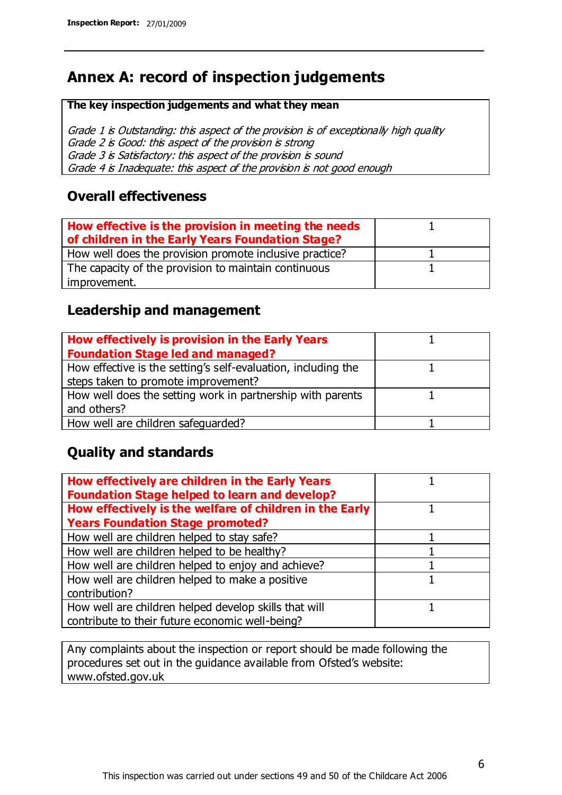# **Annex A: record of inspection judgements**

#### **The key inspection judgements and what they mean**

Grade 1 is Outstanding: this aspect of the provision is of exceptionally high quality Grade 2 is Good: this aspect of the provision is strong Grade 3 is Satisfactory: this aspect of the provision is sound Grade 4 is Inadequate: this aspect of the provision is not good enough

### **Overall effectiveness**

| How effective is the provision in meeting the needs<br>of children in the Early Years Foundation Stage? |  |
|---------------------------------------------------------------------------------------------------------|--|
| How well does the provision promote inclusive practice?                                                 |  |
| The capacity of the provision to maintain continuous                                                    |  |
| improvement.                                                                                            |  |

## **Leadership and management**

| How effectively is provision in the Early Years               |  |
|---------------------------------------------------------------|--|
| <b>Foundation Stage led and managed?</b>                      |  |
| How effective is the setting's self-evaluation, including the |  |
| steps taken to promote improvement?                           |  |
| How well does the setting work in partnership with parents    |  |
| and others?                                                   |  |
| How well are children safeguarded?                            |  |

# **Quality and standards**

| How effectively are children in the Early Years<br><b>Foundation Stage helped to learn and develop?</b> |  |
|---------------------------------------------------------------------------------------------------------|--|
| How effectively is the welfare of children in the Early                                                 |  |
| <b>Years Foundation Stage promoted?</b>                                                                 |  |
| How well are children helped to stay safe?                                                              |  |
| How well are children helped to be healthy?                                                             |  |
| How well are children helped to enjoy and achieve?                                                      |  |
| How well are children helped to make a positive                                                         |  |
| contribution?                                                                                           |  |
| How well are children helped develop skills that will                                                   |  |
| contribute to their future economic well-being?                                                         |  |

Any complaints about the inspection or report should be made following the procedures set out in the guidance available from Ofsted's website: www.ofsted.gov.uk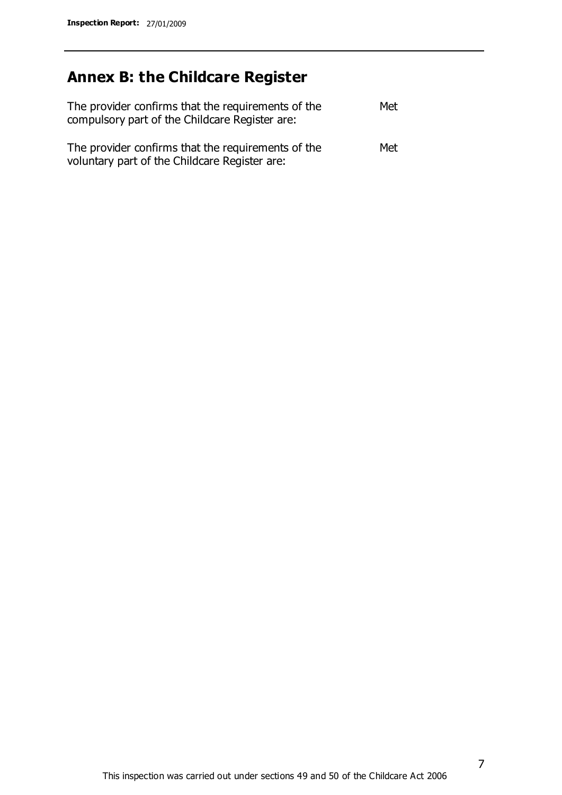# **Annex B: the Childcare Register**

| The provider confirms that the requirements of the<br>compulsory part of the Childcare Register are: | Met |
|------------------------------------------------------------------------------------------------------|-----|
| The provider confirms that the requirements of the<br>voluntary part of the Childcare Register are:  | Met |